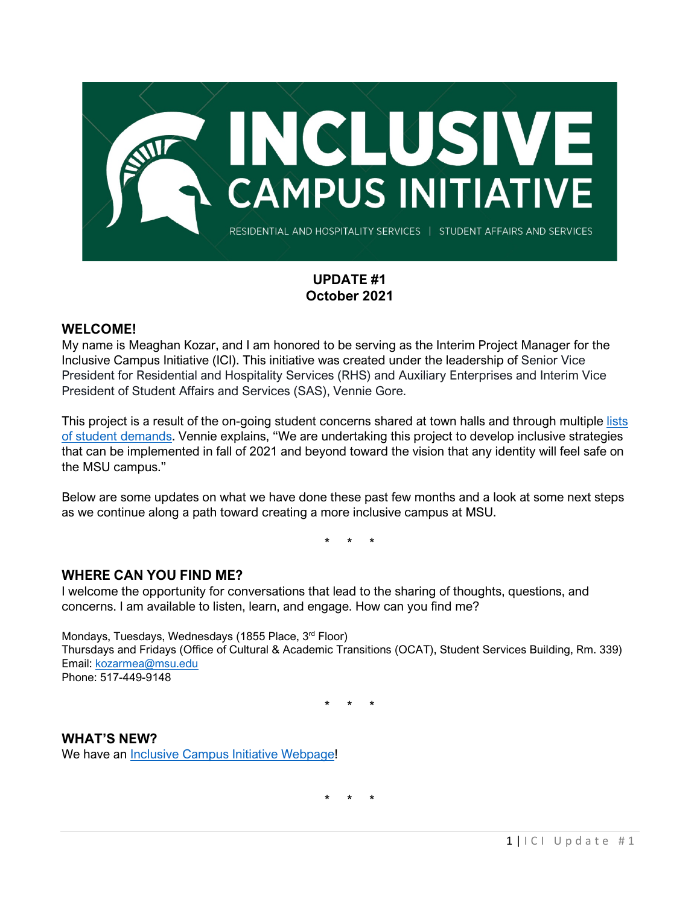

# **UPDATE #1 October 2021**

#### **WELCOME!**

My name is Meaghan Kozar, and I am honored to be serving as the Interim Project Manager for the Inclusive Campus Initiative (ICI). This initiative was created under the leadership of Senior Vice President for Residential and Hospitality Services (RHS) and Auxiliary Enterprises and Interim Vice President of Student Affairs and Services (SAS), Vennie Gore.

This project is a result of the on-going student concerns shared at town halls and through multiple lists [of student demands.](https://ocat.msu.edu/student-list-of-demands/) Vennie explains, "We are undertaking this project to develop inclusive strategies that can be implemented in fall of 2021 and beyond toward the vision that any identity will feel safe on the MSU campus."

Below are some updates on what we have done these past few months and a look at some next steps as we continue along a path toward creating a more inclusive campus at MSU.

\* \* \*

### **WHERE CAN YOU FIND ME?**

I welcome the opportunity for conversations that lead to the sharing of thoughts, questions, and concerns. I am available to listen, learn, and engage. How can you find me?

Mondays, Tuesdays, Wednesdays (1855 Place, 3rd Floor) Thursdays and Fridays (Office of Cultural & Academic Transitions (OCAT), Student Services Building, Rm. 339) Email: [kozarmea@msu.edu](mailto:kozarmea@msu.edu) Phone: 517-449-9148

\* \* \*

**WHAT'S NEW?** We have an [Inclusive Campus Initiative Webpage!](https://ocat.msu.edu/inclusive-campus-initiative/)

\* \* \*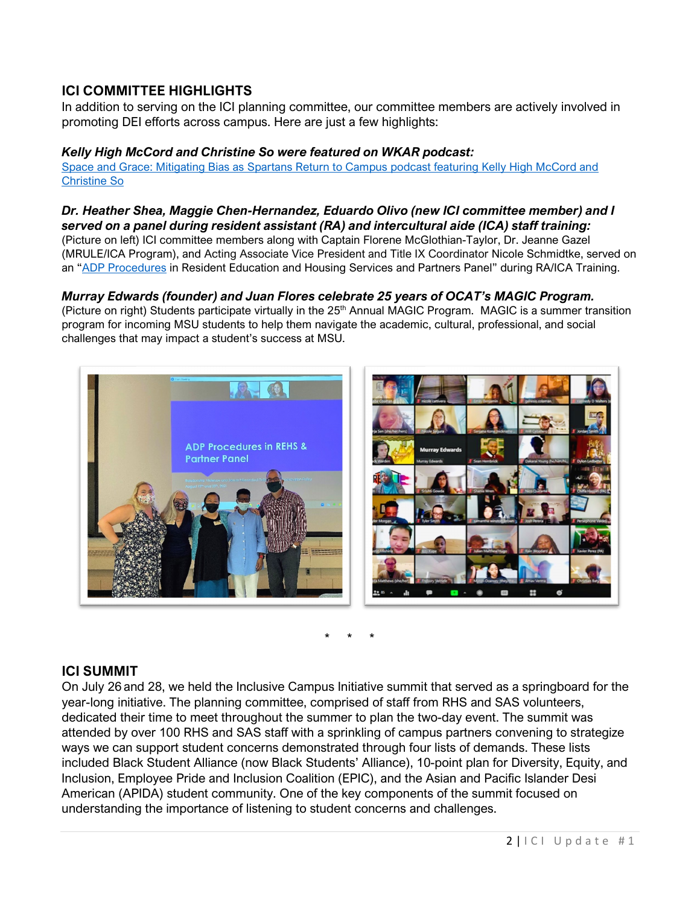# **ICI COMMITTEE HIGHLIGHTS**

In addition to serving on the ICI planning committee, our committee members are actively involved in promoting DEI efforts across campus. Here are just a few highlights:

#### *Kelly High McCord and Christine So were featured on WKAR podcast:*

[Space and Grace: Mitigating Bias as Spartans Return to Campus podcast featuring Kelly High McCord and](https://www.wkar.org/show/msu-today-with-russ-white/2021-08-14/space-and-grace-mitigating-bias-as-spartans-return-to-campus)  [Christine So](https://www.wkar.org/show/msu-today-with-russ-white/2021-08-14/space-and-grace-mitigating-bias-as-spartans-return-to-campus)

#### *Dr. Heather Shea, Maggie Chen-Hernandez, Eduardo Olivo (new ICI committee member) and I served on a panel during resident assistant (RA) and intercultural aide (ICA) staff training:*

(Picture on left) ICI committee members along with Captain Florene McGlothian-Taylor, Dr. Jeanne Gazel (MRULE/ICA Program), and Acting Associate Vice President and Title IX Coordinator Nicole Schmidtke, served on an ["ADP Procedures](https://civilrights.msu.edu/policies/) in Resident Education and Housing Services and Partners Panel" during RA/ICA Training.

## *Murray Edwards (founder) and Juan Flores celebrate 25 years of OCAT's MAGIC Program.*

(Picture on right) Students participate virtually in the 25<sup>th</sup> Annual MAGIC Program. MAGIC is a summer transition program for incoming MSU students to help them navigate the academic, cultural, professional, and social challenges that may impact a student's success at MSU.



\* \* \*

### **ICI SUMMIT**

On July 26 and 28, we held the Inclusive Campus Initiative summit that served as a springboard for the year-long initiative. The planning committee, comprised of staff from RHS and SAS volunteers, dedicated their time to meet throughout the summer to plan the two-day event. The summit was attended by over 100 RHS and SAS staff with a sprinkling of campus partners convening to strategize ways we can support student concerns demonstrated through four lists of demands. These lists included Black Student Alliance (now Black Students' Alliance), 10-point plan for Diversity, Equity, and Inclusion, Employee Pride and Inclusion Coalition (EPIC), and the Asian and Pacific Islander Desi American (APIDA) student community. One of the key components of the summit focused on understanding the importance of listening to student concerns and challenges.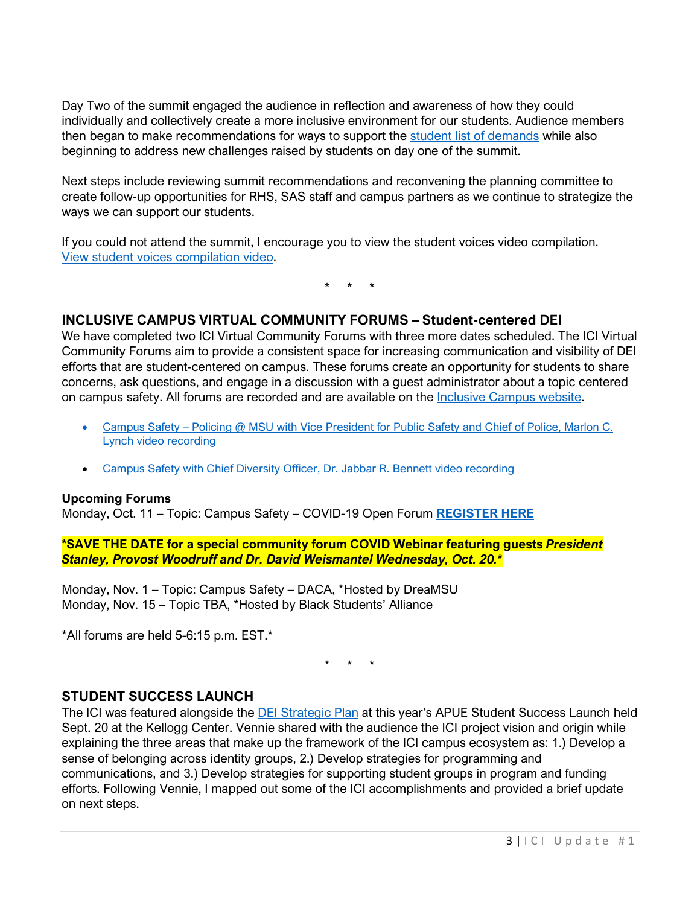Day Two of the summit engaged the audience in reflection and awareness of how they could individually and collectively create a more inclusive environment for our students. Audience members then began to make recommendations for ways to support the [student list of demands](https://ocat.msu.edu/student-list-of-demands/) while also beginning to address new challenges raised by students on day one of the summit.

Next steps include reviewing summit recommendations and reconvening the planning committee to create follow-up opportunities for RHS, SAS staff and campus partners as we continue to strategize the ways we can support our students.

If you could not attend the summit, I encourage you to view the student voices video compilation. [View student voices](https://mediaspace.msu.edu/media/ICI+Summit+Student+Voices+B.mp4/1_x3vq2571) compilation video.

\* \* \*

### **INCLUSIVE CAMPUS VIRTUAL COMMUNITY FORUMS – Student-centered DEI**

We have completed two ICI Virtual Community Forums with three more dates scheduled. The ICI Virtual Community Forums aim to provide a consistent space for increasing communication and visibility of DEI efforts that are student-centered on campus. These forums create an opportunity for students to share concerns, ask questions, and engage in a discussion with a guest administrator about a topic centered on campus safety. All forums are recorded and are available on the [Inclusive Campus website.](https://ocat.msu.edu/inclusive-campus-initiative/)

- Campus Safety Policing @ MSU with Vice President for Public Safety and Chief of Police, Marlon C. [Lynch video recording](https://mediaspace.msu.edu/media/Inclusive+Campus+Initiative+Virtual+Community+Forum+9.27.2021+Guest+Marlon+C.+Lynch/1_ct6bt739)
- [Campus Safety with Chief Diversity Officer, Dr. Jabbar R. Bennett video recording](https://mediaspace.msu.edu/media/Inclusive+Campus+Initiative+Virtual+Community+Forum+9.13.2021+Guest+Dr.+Jabbar+R.+Bennett/1_psuy9k1v)

#### **Upcoming Forums**

Monday, Oct. 11 – Topic: Campus Safety – COVID-19 Open Forum **[REGISTER HERE](https://msu.co1.qualtrics.com/jfe/form/SV_22Yt4saE7MbAnmm)**

**\*SAVE THE DATE for a special community forum COVID Webinar featuring guests** *President Stanley, Provost Woodruff and Dr. David Weismantel Wednesday, Oct. 20.\**

Monday, Nov. 1 – Topic: Campus Safety – DACA, \*Hosted by DreaMSU Monday, Nov. 15 – Topic TBA, \*Hosted by Black Students' Alliance

\*All forums are held 5-6:15 p.m. EST.\*

\* \* \*

#### **STUDENT SUCCESS LAUNCH**

The ICI was featured alongside the [DEI Strategic Plan](https://president.msu.edu/initiatives/dei-plan/dei-report-and-plan.html) at this year's APUE Student Success Launch held Sept. 20 at the Kellogg Center. Vennie shared with the audience the ICI project vision and origin while explaining the three areas that make up the framework of the ICI campus ecosystem as: 1.) Develop a sense of belonging across identity groups, 2.) Develop strategies for programming and communications, and 3.) Develop strategies for supporting student groups in program and funding efforts. Following Vennie, I mapped out some of the ICI accomplishments and provided a brief update on next steps.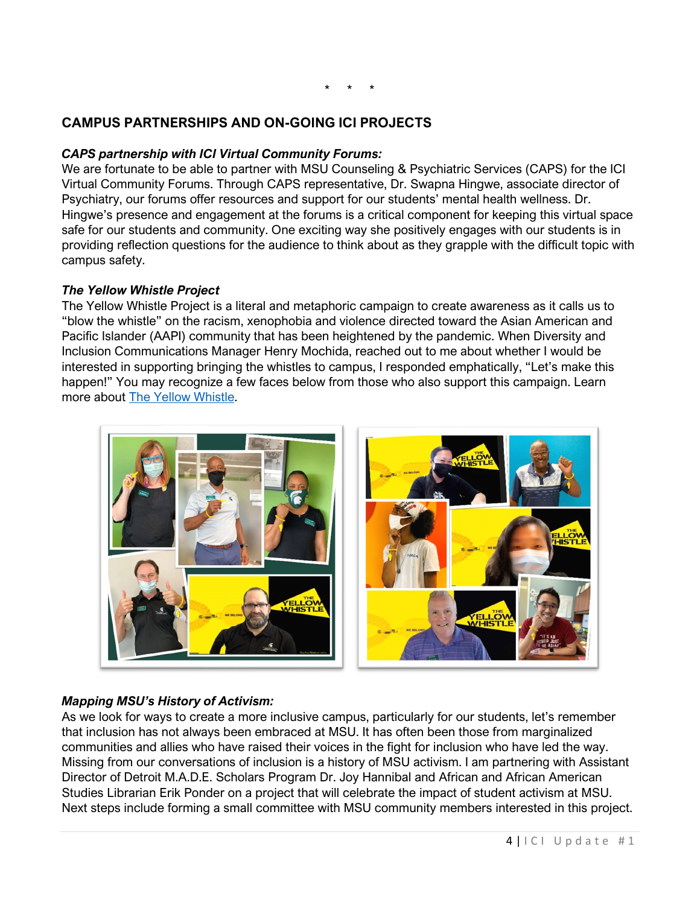### \* \* \*

# **CAMPUS PARTNERSHIPS AND ON-GOING ICI PROJECTS**

#### *CAPS partnership with ICI Virtual Community Forums:*

We are fortunate to be able to partner with MSU Counseling & Psychiatric Services (CAPS) for the ICI Virtual Community Forums. Through CAPS representative, Dr. Swapna Hingwe, associate director of Psychiatry, our forums offer resources and support for our students' mental health wellness. Dr. Hingwe's presence and engagement at the forums is a critical component for keeping this virtual space safe for our students and community. One exciting way she positively engages with our students is in providing reflection questions for the audience to think about as they grapple with the difficult topic with campus safety.

#### *The Yellow Whistle Project*

The Yellow Whistle Project is a literal and metaphoric campaign to create awareness as it calls us to "blow the whistle" on the racism, xenophobia and violence directed toward the Asian American and Pacific Islander (AAPI) community that has been heightened by the pandemic. When Diversity and Inclusion Communications Manager Henry Mochida, reached out to me about whether I would be interested in supporting bringing the whistles to campus, I responded emphatically, "Let's make this happen!" You may recognize a few faces below from those who also support this campaign. Learn more about [The Yellow Whistle.](https://www.theyellowwhistle.org/)



#### *Mapping MSU's History of Activism:*

As we look for ways to create a more inclusive campus, particularly for our students, let's remember that inclusion has not always been embraced at MSU. It has often been those from marginalized communities and allies who have raised their voices in the fight for inclusion who have led the way. Missing from our conversations of inclusion is a history of MSU activism. I am partnering with Assistant Director of Detroit M.A.D.E. Scholars Program Dr. Joy Hannibal and African and African American Studies Librarian Erik Ponder on a project that will celebrate the impact of student activism at MSU. Next steps include forming a small committee with MSU community members interested in this project.